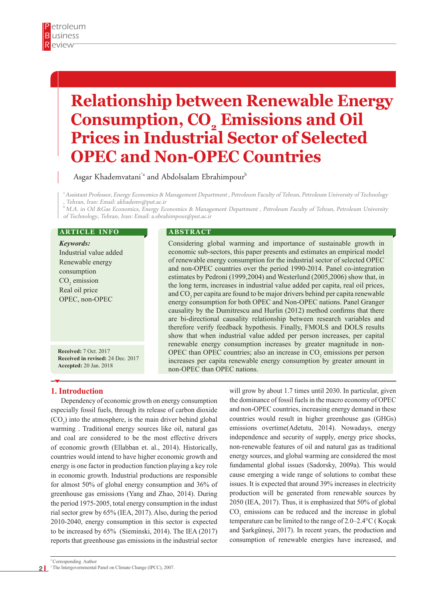# **Relationship between Renewable Energy Consumption, CO<sub>2</sub> Emissions and Oil Prices in Industrial Sector of Selected OPEC and Non-OPEC Countries**

Asgar Khademvatani<sup>\*</sup> and Abdolsalam Ebrahimpour<sup>b</sup>

a Assistant Professor, Energy Economics & Management Department , Petroleum Faculty of Tehran, Petroleum University of Technology , Tehran, Iran: Email: akhademv@put.ac.ir

 $^b$  M.A. in Oil &Gas Economics, Energy Economics & Management Department , Petroleum Faculty of Tehran, Petroleum University of Technology, Tehran, Iran: Email: a.ebrahimpour@put.ac.ir

#### **ARTICLE INFO**

*Keywords:* Industrial value added Renewable energy consumption  $CO<sub>2</sub>$  emission Real oil price OPEC, non-OPEC

**Received:** 7 Oct. 2017 **Received in revised:** 24 Dec. 2017 **Accepted:** 20 Jan. 2018

#### **A B S T R A C T**

Considering global warming and importance of sustainable growth in economic sub-sectors, this paper presents and estimates an empirical model of renewable energy consumption for the industrial sector of selected OPEC and non-OPEC countries over the period 1990-2014. Panel co-integration estimates by Pedroni (1999,2004) and Westerlund (2005,2006) show that, in the long term, increases in industrial value added per capita, real oil prices, and  $CO<sub>2</sub>$  per capita are found to be major drivers behind per capita renewable energy consumption for both OPEC and Non-OPEC nations. Panel Granger causality by the Dumitrescu and Hurlin (2012) method confirms that there are bi-directional causality relationship between research variables and therefore verify feedback hypothesis. Finally, FMOLS and DOLS results show that when industrial value added per person increases, per capital renewable energy consumption increases by greater magnitude in non-OPEC than OPEC countries; also an increase in  $CO<sub>2</sub>$  emissions per person increases per capita renewable energy consumption by greater amount in non-OPEC than OPEC nations.

# **1. Introduction**

Dependency of economic growth on energy consumption especially fossil fuels, through its release of carbon dioxide  $(CO_2)$  into the atmosphere, is the main driver behind global warming . Traditional energy sources like oil, natural gas and coal are considered to be the most effective drivers of economic growth (Ellabban et. al., 2014). Historically, countries would intend to have higher economic growth and energy is one factor in production function playing a key role in economic growth. Industrial productions are responsible for almost 50% of global energy consumption and 36% of greenhouse gas emissions (Yang and Zhao, 2014). During the period 1975-2005, total energy consumption in the indust rial sector grew by 65% (IEA, 2017). Also, during the period 2010-2040, energy consumption in this sector is expected to be increased by 65% (Sieminski, 2014). The IEA (2017) reports that greenhouse gas emissions in the industrial sector

will grow by about 1.7 times until 2030. In particular, given the dominance of fossil fuels in the macro economy of OPEC and non-OPEC countries, increasing energy demand in these countries would result in higher greenhouse gas (GHGs) emissions overtime(Adetutu, 2014). Nowadays, energy independence and security of supply, energy price shocks, non-renewable features of oil and natural gas as traditional energy sources, and global warming are considered the most fundamental global issues (Sadorsky, 2009a). This would cause emerging a wide range of solutions to combat these issues. It is expected that around 39% increases in electricity production will be generated from renewable sources by 2050 (IEA, 2017). Thus, it is emphasized that 50% of global  $CO<sub>2</sub>$  emissions can be reduced and the increase in global temperature can be limited to the range of 2.0–2.4°C ( Koçak and Şarkgüneşi, 2017). In recent years, the production and consumption of renewable energies have increased, and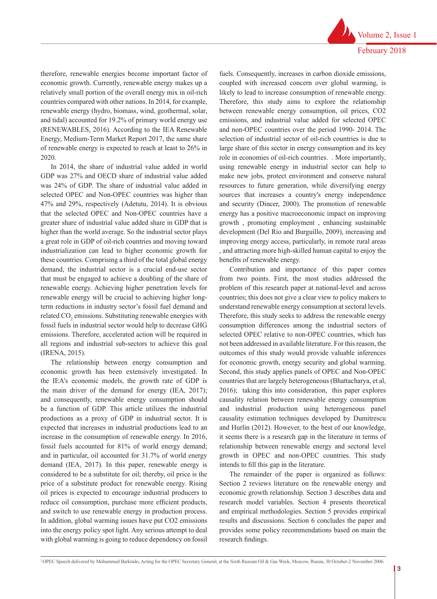Volume 2, Issue 1 February 2018

therefore, renewable energies become important factor of economic growth. Currently, renewable energy makes up a relatively small portion of the overall energy mix in oil-rich countries compared with other nations. In 2014, for example, renewable energy (hydro, biomass, wind, geothermal, solar, and tidal) accounted for 19.2% of primary world energy use (RENEWABLES, 2016). According to the IEA Renewable Energy, Medium-Term Market Report 2017, the same share of renewable energy is expected to reach at least to 26% in 2020.

In 2014, the share of industrial value added in world GDP was 27% and OECD share of industrial value added was 24% of GDP. The share of industrial value added in selected OPEC and Non-OPEC countries was higher than 47% and 29%, respectively (Adetutu, 2014). It is obvious that the selected OPEC and Non-OPEC countries have a greater share of industrial value added share in GDP that is higher than the world average. So the industrial sector plays a great role in GDP of oil-rich countries and moving toward industrialization can lead to higher economic growth for these countries. Comprising a third of the total global energy demand, the industrial sector is a crucial end-use sector that must be engaged to achieve a doubling of the share of renewable energy. Achieving higher penetration levels for renewable energy will be crucial to achieving higher longterm reductions in industry sector's fossil fuel demand and related  $CO<sub>2</sub>$  emissions. Substituting renewable energies with fossil fuels in industrial sector would help to decrease GHG emissions. Therefore, accelerated action will be required in all regions and industrial sub-sectors to achieve this goal (IRENA, 2015).

The relationship between energy consumption and economic growth has been extensively investigated. In the IEA's economic models, the growth rate of GDP is the main driver of the demand for energy (IEA, 2017); and consequently, renewable energy consumption should be a function of GDP. This article utilizes the industrial productions as a proxy of GDP in industrial sector. It is expected that increases in industrial productions lead to an increase in the consumption of renewable energy. In 2016, fossil fuels accounted for 81% of world energy demand; and in particular, oil accounted for 31.7% of world energy demand (IEA, 2017). In this paper, renewable energy is considered to be a substitute for oil; thereby, oil price is the price of a substitute product for renewable energy. Rising oil prices is expected to encourage industrial producers to reduce oil consumption, purchase more efficient products, and switch to use renewable energy in production process. In addition, global warming issues have put CO2 emissions into the energy policy spot light. Any serious attempt to deal with global warming is going to reduce dependency on fossil fuels. Consequently, increases in carbon dioxide emissions, coupled with increased concern over global warming, is likely to lead to increase consumption of renewable energy. Therefore, this study aims to explore the relationship between renewable energy consumption, oil prices, CO2 emissions, and industrial value added for selected OPEC and non-OPEC countries over the period 1990- 2014. The selection of industrial sector of oil-rich countries is due to large share of this sector in energy consumption and its key role in economies of oil-rich countries. . More importantly, using renewable energy in industrial sector can help to make new jobs, protect environment and conserve natural resources to future generation, while diversifying energy sources that increases a country's energy independence and security (Dincer, 2000). The promotion of renewable energy has a positive macroeconomic impact on improving growth , promoting employment , enhancing sustainable development (Del Rio and Burguillo, 2009), increasing and improving energy access, particularly, in remote rural areas , and attracting more high-skilled human capital to enjoy the benefits of renewable energy.

Contribution and importance of this paper comes from two points. First, the most studies addressed the problem of this research paper at national-level and across countries; this does not give a clear view to policy makers to understand renewable energy consumption at sectoral levels. Therefore, this study seeks to address the renewable energy consumption differences among the industrial sectors of selected OPEC relative to non-OPEC countries, which has not been addressed in available literature. For this reason, the outcomes of this study would provide valuable inferences for economic growth, energy security and global warming. Second, this study applies panels of OPEC and Non-OPEC countries that are largely heterogeneous (Bhattacharya, et al, 2016); taking this into consideration, this paper explores causality relation between renewable energy consumption and industrial production using heterogeneous panel causality estimation techniques developed by Dumitrescu and Hurlin (2012). However, to the best of our knowledge, it seems there is a research gap in the literature in terms of relationship between renewable energy and sectoral level growth in OPEC and non-OPEC countries. This study intends to fill this gap in the literature.

The remainder of the paper is organized as follows: Section 2 reviews literature on the renewable energy and economic growth relationship. Section 3 describes data and research model variables. Section 4 presents theoretical and empirical methodologies. Section 5 provides empirical results and discussions. Section 6 concludes the paper and provides some policy recommendations based on main the research findings.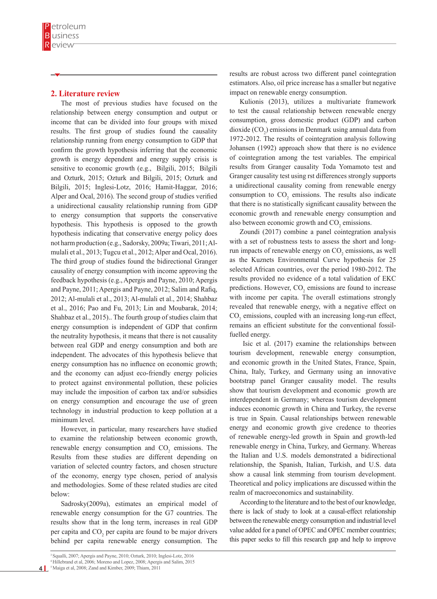# **2. Literature review**

The most of previous studies have focused on the relationship between energy consumption and output or income that can be divided into four groups with mixed results. The first group of studies found the causality relationship running from energy consumption to GDP that confirm the growth hypothesis inferring that the economic growth is energy dependent and energy supply crisis is sensitive to economic growth (e.g., Bilgili, 2015; Bilgili and Ozturk, 2015; Ozturk and Bilgili, 2015; Ozturk and Bilgili, 2015; Inglesi-Lotz, 2016; Hamit-Haggar, 2016; Alper and Ocal, 2016). The second group of studies verified a unidirectional causality relationship running from GDP to energy consumption that supports the conservative hypothesis. This hypothesis is opposed to the growth hypothesis indicating that conservative energy policy does not harm production (e.g., Sadorsky, 2009a; Tiwari, 2011; Almulali et al., 2013; Tugcu et al., 2012; Alper and Ocal, 2016). The third group of studies found the bidirectional Granger causality of energy consumption with income approving the feedback hypothesis (e.g., Apergis and Payne, 2010; Apergis and Payne, 2011; Apergis and Payne, 2012; Salim and Rafiq, 2012; Al-mulali et al., 2013; Al-mulali et al., 2014; Shahbaz et al., 2016; Pao and Fu, 2013; Lin and Moubarak, 2014; Shahbaz et al., 2015).. The fourth group of studies claim that energy consumption is independent of GDP that confirm the neutrality hypothesis, it means that there is not causality between real GDP and energy consumption and both are independent. The advocates of this hypothesis believe that energy consumption has no influence on economic growth; and the economy can adjust eco-friendly energy policies to protect against environmental pollution, these policies may include the imposition of carbon tax and/or subsidies on energy consumption and encourage the use of green technology in industrial production to keep pollution at a minimum level.

However, in particular, many researchers have studied to examine the relationship between economic growth, renewable energy consumption and  $CO<sub>2</sub>$  emissions. The Results from these studies are different depending on variation of selected country factors, and chosen structure of the economy, energy type chosen, period of analysis and methodologies. Some of these related studies are cited below:

Sadrosky(2009a), estimates an empirical model of renewable energy consumption for the G7 countries. The results show that in the long term, increases in real GDP per capita and  $CO<sub>2</sub>$  per capita are found to be major drivers behind per capita renewable energy consumption. The

results are robust across two different panel cointegration estimators. Also, oil price increase has a smaller but negative impact on renewable energy consumption.

Kulionis (2013), utilizes a multivariate framework to test the causal relationship between renewable energy consumption, gross domestic product (GDP) and carbon dioxide  $(CO_2)$  emissions in Denmark using annual data from 1972-2012. The results of cointegration analysis following Johansen (1992) approach show that there is no evidence of cointegration among the test variables. The empirical results from Granger causality Toda Yomamoto test and Granger causality test using rst differences strongly supports a unidirectional causality coming from renewable energy consumption to  $CO_2$  emissions. The results also indicate that there is no statistically significant causality between the economic growth and renewable energy consumption and also between economic growth and  $CO<sub>2</sub>$  emissions.

Zoundi (2017) combine a panel cointegration analysis with a set of robustness tests to assess the short and longrun impacts of renewable energy on  $CO<sub>2</sub>$  emissions, as well as the Kuznets Environmental Curve hypothesis for 25 selected African countries, over the period 1980-2012. The results provided no evidence of a total validation of EKC predictions. However,  $CO_2$  emissions are found to increase with income per capita. The overall estimations strongly revealed that renewable energy, with a negative effect on  $CO<sub>2</sub>$  emissions, coupled with an increasing long-run effect, remains an efficient substitute for the conventional fossilfuelled energy.

 Isic et al. (2017) examine the relationships between tourism development, renewable energy consumption, and economic growth in the United States, France, Spain, China, Italy, Turkey, and Germany using an innovative bootstrap panel Granger causality model. The results show that tourism development and economic growth are interdependent in Germany; whereas tourism development induces economic growth in China and Turkey, the reverse is true in Spain. Causal relationships between renewable energy and economic growth give credence to theories of renewable energy-led growth in Spain and growth-led renewable energy in China, Turkey, and Germany. Whereas the Italian and U.S. models demonstrated a bidirectional relationship, the Spanish, Italian, Turkish, and U.S. data show a causal link stemming from tourism development. Theoretical and policy implications are discussed within the realm of macroeconomics and sustainability.

According to the literature and to the best of our knowledge, there is lack of study to look at a causal-effect relationship between the renewable energy consumption and industrial level value added for a panel of OPEC and OPEC member countries; this paper seeks to fill this research gap and help to improve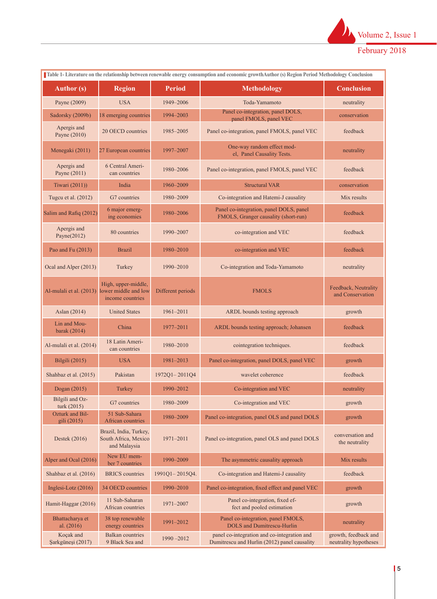

| Table 1- Literature on the relationship between renewable energy consumption and economic growthAuthor (s) Region Period Methodology Conclusion |                                                                |                   |                                                                                                                                              |                                          |
|-------------------------------------------------------------------------------------------------------------------------------------------------|----------------------------------------------------------------|-------------------|----------------------------------------------------------------------------------------------------------------------------------------------|------------------------------------------|
| <b>Author</b> (s)                                                                                                                               | <b>Region</b>                                                  | <b>Period</b>     | <b>Methodology</b>                                                                                                                           | <b>Conclusion</b>                        |
| Payne (2009)                                                                                                                                    | <b>USA</b>                                                     | 1949-2006         | Toda-Yamamoto                                                                                                                                | neutrality                               |
| Sadorsky (2009b)                                                                                                                                | 18 emerging countries                                          | 1994-2003         | Panel co-integration, panel DOLS,<br>panel FMOLS, panel VEC                                                                                  | conservation                             |
| Apergis and<br>Payne (2010)                                                                                                                     | 20 OECD countries                                              | 1985-2005         | Panel co-integration, panel FMOLS, panel VEC<br>feedback                                                                                     |                                          |
| Menegaki (2011)                                                                                                                                 | 27 European countries                                          | 1997-2007         | One-way random effect mod-<br>el, Panel Causality Tests.                                                                                     | neutrality                               |
| Apergis and<br>Payne (2011)                                                                                                                     | 6 Central Ameri-<br>can countries                              | 1980-2006         | Panel co-integration, panel FMOLS, panel VEC                                                                                                 | feedback                                 |
| Tiwari (2011))                                                                                                                                  | India                                                          | 1960-2009         | <b>Structural VAR</b>                                                                                                                        | conservation                             |
| Tugcu et al. (2012)                                                                                                                             | G7 countries                                                   | 1980-2009         | Co-integration and Hatemi-J causality                                                                                                        | Mix results                              |
| Salim and Rafiq (2012)                                                                                                                          | 6 major emerg-<br>ing economies                                | 1980-2006         | Panel co-integration, panel DOLS, panel<br>FMOLS, Granger causality (short-run)                                                              | feedback                                 |
| Apergis and<br>Payne $(2012)$                                                                                                                   | 80 countries                                                   | 1990-2007         | co-integration and VEC                                                                                                                       | feedback                                 |
| Pao and Fu (2013)                                                                                                                               | <b>Brazil</b>                                                  | 1980-2010         | co-integration and VEC                                                                                                                       | feedback                                 |
| Ocal and Alper (2013)                                                                                                                           | Turkey                                                         | 1990-2010         | Co-integration and Toda-Yamamoto                                                                                                             | neutrality                               |
| Al-mulali et al. (2013) lower middle and low                                                                                                    | High, upper-middle,<br>income countries                        | Different periods | <b>FMOLS</b>                                                                                                                                 | Feedback, Neutrality<br>and Conservation |
| Aslan (2014)                                                                                                                                    | <b>United States</b>                                           | 1961-2011         | ARDL bounds testing approach                                                                                                                 | growth                                   |
| Lin and Mou-<br>barak (2014)                                                                                                                    | China                                                          | 1977-2011         | ARDL bounds testing approach; Johansen                                                                                                       | feedback                                 |
| Al-mulali et al. (2014)                                                                                                                         | 18 Latin Ameri-<br>can countries                               | 1980-2010         | cointegration techniques.                                                                                                                    | feedback                                 |
| Bilgili (2015)                                                                                                                                  | <b>USA</b>                                                     | 1981-2013         | Panel co-integration, panel DOLS, panel VEC                                                                                                  | growth                                   |
| Shahbaz et al. (2015)                                                                                                                           | Pakistan                                                       | 1972Q1-2011Q4     | wavelet coherence                                                                                                                            | feedback                                 |
| Dogan (2015)                                                                                                                                    | Turkey                                                         | 1990–2012         | Co-integration and VEC                                                                                                                       | neutrality                               |
| Bilgili and Oz-<br>turk (2015)                                                                                                                  | G7 countries                                                   | 1980-2009         | Co-integration and VEC                                                                                                                       | growth                                   |
| Ozturk and Bil-<br>gili (2015)                                                                                                                  | 51 Sub-Sahara<br>African countries                             | 1980-2009         | Panel co-integration, panel OLS and panel DOLS                                                                                               | growth                                   |
| Destek (2016)                                                                                                                                   | Brazil, India, Turkey,<br>South Africa, Mexico<br>and Malaysia | 1971-2011         | conversation and<br>Panel co-integration, panel OLS and panel DOLS<br>the neutrality                                                         |                                          |
| Alper and Ocal (2016)                                                                                                                           | New EU mem-<br>ber 7 countries                                 | 1990-2009         | The asymmetric causality approach<br>Mix results                                                                                             |                                          |
| Shahbaz et al. (2016)                                                                                                                           | <b>BRICS</b> countries                                         | 1991Q1-2015Q4.    | Co-integration and Hatemi-J causality                                                                                                        | feedback                                 |
| Inglesi-Lotz $(2016)$                                                                                                                           | 34 OECD countries                                              | 1990-2010         | Panel co-integration, fixed effect and panel VEC<br>growth                                                                                   |                                          |
| Hamit-Haggar (2016)                                                                                                                             | 11 Sub-Saharan<br>African countries                            | 1971-2007         | Panel co-integration, fixed ef-<br>growth<br>fect and pooled estimation                                                                      |                                          |
| Bhattacharya et<br>al. $(2016)$                                                                                                                 | 38 top renewable<br>energy countries                           | 1991-2012         | Panel co-integration, panel FMOLS,<br><b>DOLS</b> and Dumitrescu-Hurlin                                                                      | neutrality                               |
| Koçak and<br>Şarkgüneşi (2017)                                                                                                                  | <b>Balkan</b> countries<br>9 Black Sea and                     | $1990 - 2012$     | panel co-integration and co-integration and<br>growth, feedback and<br>neutrality hypotheses<br>Dumitrescu and Hurlin (2012) panel causality |                                          |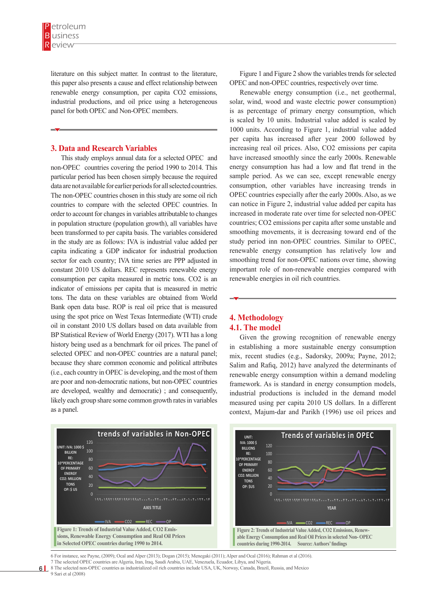literature on this subject matter. In contrast to the literature, this paper also presents a cause and effect relationship between renewable energy consumption, per capita CO2 emissions, industrial productions, and oil price using a heterogeneous panel for both OPEC and Non-OPEC members.

## **3. Data and Research Variables**

This study employs annual data for a selected OPEC and non-OPEC countries covering the period 1990 to 2014. This particular period has been chosen simply because the required data are not available for earlier periods for all selected countries. The non-OPEC countries chosen in this study are some oil rich countries to compare with the selected OPEC countries. In order to account for changes in variables attributable to changes in population structure (population growth), all variables have been transformed to per capita basis. The variables considered in the study are as follows: IVA is industrial value added per capita indicating a GDP indicator for industrial production sector for each country; IVA time series are PPP adjusted in constant 2010 US dollars. REC represents renewable energy consumption per capita measured in metric tons. CO2 is an indicator of emissions per capita that is measured in metric tons. The data on these variables are obtained from World Bank open data base. ROP is real oil price that is measured using the spot price on West Texas Intermediate (WTI) crude oil in constant 2010 US dollars based on data available from BP Statistical Review of World Energy (2017). WTI has a long history being used as a benchmark for oil prices. The panel of selected OPEC and non-OPEC countries are a natural panel; because they share common economic and political attributes (i.e., each country in OPEC is developing, and the most of them are poor and non-democratic nations, but non-OPEC countries are developed, wealthy and democratic) ; and consequently, likely each group share some common growth rates in variables as a panel. *Figure 1: Trends of Industrial Value Added, CO2 Emissions, Renewable Energy Consumption and Real Oil Prices in Selected OPEC countries during 1990 to 2014. Source: Authors' findings*  **ENEXECT ENEX F** 

Figure 1 and Figure 2 show the variables trends for selected OPEC and non-OPEC countries, respectively over time.

Renewable energy consumption (i.e., net geothermal, solar, wind, wood and waste electric power consumption) is as percentage of primary energy consumption, which is scaled by 10 units. Industrial value added is scaled by 1000 units. According to Figure 1, industrial value added per capita has increased after year 2000 followed by increasing real oil prices. Also, CO2 emissions per capita have increased smoothly since the early 2000s. Renewable energy consumption has had a low and flat trend in the sample period. As we can see, except renewable energy consumption, other variables have increasing trends in OPEC countries especially after the early 2000s. Also, as we can notice in Figure 2, industrial value added per capita has increased in moderate rate over time for selected non-OPEC countries; CO2 emissions per capita after some unstable and smoothing movements, it is decreasing toward end of the study period inn non-OPEC countries. Similar to OPEC, renewable energy consumption has relatively low and smoothing trend for non-OPEC nations over time, showing important role of non-renewable energies compared with renewable energies in oil rich countries.

# **4. Methodology 4.1. The model**

Given the growing recognition of renewable energy in establishing a more sustainable energy consumption mix, recent studies (e.g., Sadorsky, 2009a; Payne, 2012; Salim and Rafiq, 2012) have analyzed the determinants of renewable energy consumption within a demand modeling framework. As is standard in energy consumption models, industrial productions is included in the demand model measured using per capita 2010 US dollars. In a different context, Majum-dar and Parikh (1996) use oil prices and



6 For instance, see Payne, (2009); Ocal and Alper (2013); Dogan (2015); Menegaki (2011); Alper and Ocal (2016); Rahman et al (2016). 7 The selected OPEC countries are Algeria, Iran, Iraq, Saudi Arabia, UAE, Venezuela, Ecuador, Libya, and Nigeria. <sup>7</sup> The selected OFEC countries are Argenta, Itali, Italy, Salut Arabia, OAE, venezueta, Ecuador, Enya, and Nigeria.<br>8 The selected on-OPEC countries as industrialized oil rich countries include USA, UK, Norway, Canada, Br

 $\overline{9}$  Sari et al (2008)

 $6<sup>1</sup>$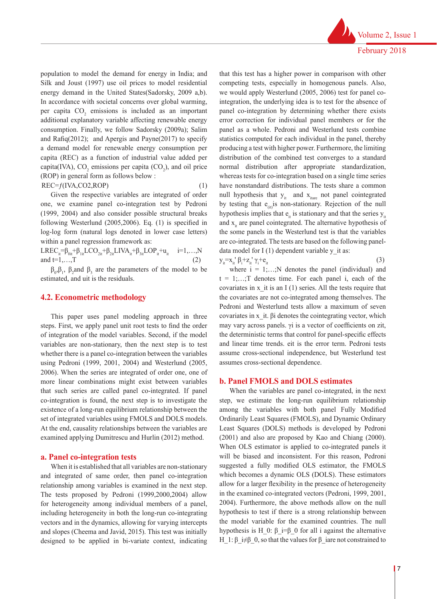population to model the demand for energy in India; and Silk and Joust (1997) use oil prices to model residential energy demand in the United States(Sadorsky, 2009 a,b). In accordance with societal concerns over global warming, per capita  $CO<sub>2</sub>$  emissions is included as an important additional explanatory variable affecting renewable energy consumption. Finally, we follow Sadorsky (2009a); Salim and Rafiq(2012); and Apergis and Payne(2017) to specify a demand model for renewable energy consumption per capita (REC) as a function of industrial value added per capita(IVA),  $CO_2$  emissions per capita ( $CO_2$ ), and oil price (ROP) in general form as follows below :  $REC = f(IVA, CO2, ROP)$  (1)

Given the respective variables are integrated of order one, we examine panel co-integration test by Pedroni (1999, 2004) and also consider possible structural breaks following Westerlund (2005,2006). Eq. (1) is specified in log-log form (natural logs denoted in lower case letters) within a panel regression framework as:

LREC<sub>it</sub>=β<sub>0it</sub>+β<sub>1it</sub>LCO<sub>2it</sub>+β<sub>2it</sub>LIVA<sub>it</sub>+β<sub>3it</sub>LOP<sub>it</sub>+u<sub>it</sub> i=1,...,N and  $t=1,...,T$  (2)

 $β<sub>0</sub>, β<sub>1</sub>, β<sub>2</sub>$  and  $β<sub>3</sub>$  are the parameters of the model to be estimated, and uit is the residuals.

#### **4.2. Econometric methodology**

This paper uses panel modeling approach in three steps. First, we apply panel unit root tests to find the order of integration of the model variables. Second, if the model variables are non-stationary, then the next step is to test whether there is a panel co-integration between the variables using Pedroni (1999, 2001, 2004) and Westerlund (2005, 2006). When the series are integrated of order one, one of more linear combinations might exist between variables that such series are called panel co-integrated. If panel co-integration is found, the next step is to investigate the existence of a long-run equilibrium relationship between the set of integrated variables using FMOLS and DOLS models. At the end, causality relationships between the variables are examined applying Dumitrescu and Hurlin (2012) method.

#### **a. Panel co-integration tests**

When it is established that all variables are non-stationary and integrated of same order, then panel co-integration relationship among variables is examined in the next step. The tests proposed by Pedroni (1999,2000,2004) allow for heterogeneity among individual members of a panel, including heterogeneity in both the long-run co-integrating vectors and in the dynamics, allowing for varying intercepts and slopes (Cheema and Javid, 2015). This test was initially designed to be applied in bi-variate context, indicating that this test has a higher power in comparison with other competing tests, especially in homogenous panels. Also, we would apply Westerlund (2005, 2006) test for panel cointegration, the underlying idea is to test for the absence of panel co-integration by determining whether there exists error correction for individual panel members or for the panel as a whole. Pedroni and Westerlund tests combine statistics computed for each individual in the panel, thereby producing a test with higher power. Furthermore, the limiting distribution of the combined test converges to a standard normal distribution after appropriate standardization, whereas tests for co-integration based on a single time series have nonstandard distributions. The tests share a common null hypothesis that  $y_{it}$  and  $x_{itare}$  not panel cointegrated by testing that  $e_{(it)}$  is non-stationary. Rejection of the null hypothesis implies that  $e_{it}$  is stationary and that the series  $y_{it}$ and  $x_i$  are panel cointegrated. The alternative hypothesis of the some panels in the Westerlund test is that the variables are co-integrated. The tests are based on the following paneldata model for  $I(1)$  dependent variable y it as:  $y_i = x_i' \beta_i + z_i' \gamma_i$  $+e_{it}$  (3)

where  $i = 1; \ldots; N$  denotes the panel (individual) and  $t = 1, \ldots, T$  denotes time. For each panel i, each of the covariates in  $x$  it is an I (1) series. All the tests require that the covariates are not co-integrated among themselves. The Pedroni and Westerlund tests allow a maximum of seven covariates in x\_it. βi denotes the cointegrating vector, which may vary across panels. γi is a vector of coefficients on zit, the deterministic terms that control for panel-specific effects and linear time trends. eit is the error term. Pedroni tests assume cross-sectional independence, but Westerlund test assumes cross-sectional dependence.

#### **b. Panel FMOLS and DOLS estimates**

When the variables are panel co-integrated, in the next step, we estimate the long-run equilibrium relationship among the variables with both panel Fully Modified Ordinarily Least Squares (FMOLS), and Dynamic Ordinary Least Squares (DOLS) methods is developed by Pedroni (2001) and also are proposed by Kao and Chiang (2000). When OLS estimator is applied to co-integrated panels it will be biased and inconsistent. For this reason, Pedroni suggested a fully modified OLS estimator, the FMOLS which becomes a dynamic OLS (DOLS). These estimators allow for a larger flexibility in the presence of heterogeneity in the examined co-integrated vectors (Pedroni, 1999, 2001, 2004). Furthermore, the above methods allow on the null hypothesis to test if there is a strong relationship between the model variable for the examined countries. The null hypothesis is H\_0: β i=β\_0 for all i against the alternative H 1: β i≠β 0, so that the values for β iare not constrained to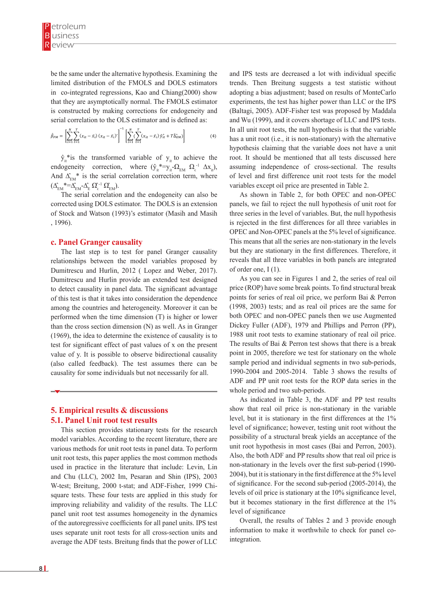be the same under the alternative hypothesis. Examining the  $\frac{1}{2}$  limited distribution of the FMOLS and DOLS estimators in co-integrated regressions, Kao and Chiang(2000) show that they are asymptotically normal. The FMOLS estimator that they are asymptotically normal. The FMOLS estimator is constructed by making corrections for endogeneity and serial correlation to the OLS estimator and is defined as:  $n_{\text{min}}$  in the distribution of the FMOLS and DOLS estimators that they are asymptotically normal. The FMOLS estimator is constructed by making corrections for endogeneity and

$$
\hat{\beta}_{FM} = \left[ \sum_{i=1}^{N} \sum_{t=1}^{T} (x_{it} - \bar{x}_i) (x_{it} - \bar{x}_i)' \right]^{-1} \left[ \sum_{i=1}^{N} (\sum_{t=1}^{T} (x_{it} - \bar{x}_i) \hat{y}_{it}^* + T \hat{\Delta}_{EM}^*) \right]
$$
(4)

 $\cdot$  is the transformed variable of  $\cdot$  the endogeneity correction, where  $\cdot$  $\hat{y}_i^*$  is the transformed variable of  $y_i$  to achieve the endogeneity correction, where  $(\hat{y}_{it}^* = y_{it} \Omega_{EM} \Omega_{\epsilon}^{-1} \Delta x_{it}),$ And  $\Delta_{EM}^*$  is the serial correlation correction term, where  $(\Delta_{\text{EM}}^*=\Delta_{\text{EM}}^*\Delta_{\text{E}}^*\Omega_{\text{E}}^{\text{-1}}\Omega_{\text{EM}}^{\text{-1}}).$ 

The serial correlation and the endogeneity can also be corrected using DOLS estimator. The DOLS is an extension of Stock and Watson (1993)'s estimator (Masih and Masih , 1996).

#### **c. Panel Granger causality**

The last step is to test for panel Granger causality relationships between the model variables proposed by Dumitrescu and Hurlin, 2012 ( Lopez and Weber, 2017). Dumitrescu and Hurlin provide an extended test designed to detect causality in panel data. The significant advantage of this test is that it takes into consideration the dependence among the countries and heterogeneity. Moreover it can be performed when the time dimension (T) is higher or lower than the cross section dimension (N) as well. As in Granger (1969), the idea to determine the existence of causality is to test for significant effect of past values of x on the present value of y. It is possible to observe bidirectional causality (also called feedback). The test assumes there can be causality for some individuals but not necessarily for all.

# **5. Empirical results & discussions 5.1. Panel Unit root test results**

This section provides stationary tests for the research model variables. According to the recent literature, there are various methods for unit root tests in panel data. To perform unit root tests, this paper applies the most common methods used in practice in the literature that include: Levin, Lin and Chu (LLC), 2002 Im, Pesaran and Shin (IPS), 2003 W-test; Breitung, 2000 t-stat; and ADF-Fisher, 1999 Chisquare tests. These four tests are applied in this study for improving reliability and validity of the results. The LLC panel unit root test assumes homogeneity in the dynamics of the autoregressive coefficients for all panel units. IPS test uses separate unit root tests for all cross-section units and average the ADF tests. Breitung finds that the power of LLC

and IPS tests are decreased a lot with individual specific trends. Then Breitung suggests a test statistic without adopting a bias adjustment; based on results of MonteCarlo experiments, the test has higher power than LLC or the IPS (Baltagi, 2005). ADF-Fisher test was proposed by Maddala and Wu (1999), and it covers shortage of LLC and IPS tests. In all unit root tests, the null hypothesis is that the variable has a unit root (i.e., it is non-stationary) with the alternative hypothesis claiming that the variable does not have a unit root. It should be mentioned that all tests discussed here assuming independence of cross-sectional. The results of level and first difference unit root tests for the model variables except oil price are presented in Table 2.

As shown in Table 2, for both OPEC and non-OPEC panels, we fail to reject the null hypothesis of unit root for three series in the level of variables. But, the null hypothesis is rejected in the first differences for all three variables in OPEC and Non-OPEC panels at the 5% level of significance. This means that all the series are non-stationary in the levels but they are stationary in the first differences. Therefore, it reveals that all three variables in both panels are integrated of order one, I (1).

As you can see in Figures 1 and 2, the series of real oil price (ROP) have some break points. To find structural break points for series of real oil price, we perform Bai & Perron (1998, 2003) tests; and as real oil prices are the same for both OPEC and non-OPEC panels then we use Augmented Dickey Fuller (ADF), 1979 and Phillips and Perron (PP), 1988 unit root tests to examine stationary of real oil price. The results of Bai & Perron test shows that there is a break point in 2005, therefore we test for stationary on the whole sample period and individual segments in two sub-periods, 1990-2004 and 2005-2014. Table 3 shows the results of ADF and PP unit root tests for the ROP data series in the whole period and two sub-periods.

As indicated in Table 3, the ADF and PP test results show that real oil price is non-stationary in the variable level, but it is stationary in the first differences at the 1% level of significance; however, testing unit root without the possibility of a structural break yields an acceptance of the unit root hypothesis in most cases (Bai and Perron, 2003). Also, the both ADF and PP results show that real oil price is non-stationary in the levels over the first sub-period (1990- 2004), but it is stationary in the first difference at the 5% level of significance. For the second sub-period (2005-2014), the levels of oil price is stationary at the 10% significance level, but it becomes stationary in the first difference at the 1% level of significance

Overall, the results of Tables 2 and 3 provide enough information to make it worthwhile to check for panel cointegration.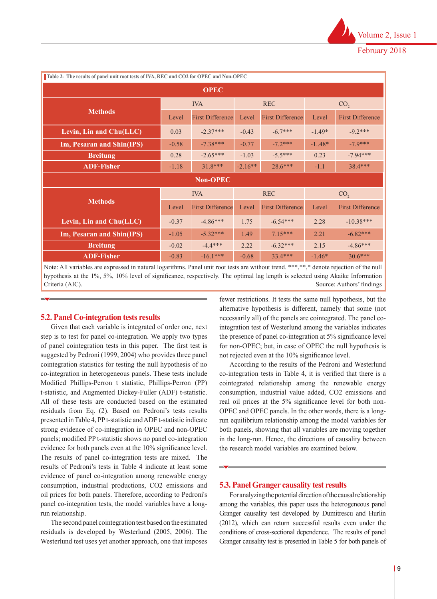| Table 2- The results of panel unit root tests of IVA, REC and CO2 for OPEC and Non-OPEC |         |                                   |         |                               |                 |                         |  |
|-----------------------------------------------------------------------------------------|---------|-----------------------------------|---------|-------------------------------|-----------------|-------------------------|--|
| <b>OPEC</b>                                                                             |         |                                   |         |                               |                 |                         |  |
|                                                                                         |         | <b>IVA</b>                        |         | <b>REC</b><br>CO <sub>2</sub> |                 |                         |  |
| <b>Methods</b>                                                                          | Level   | <b>First Difference</b>           | Level   | <b>First Difference</b>       | Level           | <b>First Difference</b> |  |
| Levin, Lin and Chu(LLC)                                                                 | 0.03    | $-2.37***$                        | $-0.43$ | $-6.7***$                     | $-1.49*$        | $-9.2***$               |  |
| Im, Pesaran and Shin(IPS)                                                               | $-0.58$ | $-7.38***$                        | $-0.77$ | $-7.2***$                     | $-1.48*$        | $-7.9***$               |  |
| <b>Breitung</b>                                                                         | 0.28    | $-2.65***$                        | $-1.03$ | $-5.5***$                     | 0.23            | $-7.94***$              |  |
| <b>ADF-Fisher</b>                                                                       | $-1.18$ | 28.6***<br>$31.8***$<br>$-2.16**$ |         | $-1.1$                        | $38.4***$       |                         |  |
| <b>Non-OPEC</b>                                                                         |         |                                   |         |                               |                 |                         |  |
|                                                                                         |         | <b>IVA</b>                        |         | <b>REC</b>                    | CO <sub>2</sub> |                         |  |
| <b>Methods</b>                                                                          | Level   | <b>First Difference</b>           |         | <b>First Difference</b>       | Level           | <b>First Difference</b> |  |
| Levin, Lin and Chu(LLC)                                                                 | $-0.37$ | $-4.86***$                        | 1.75    | $-6.54***$                    | 2.28            | $-10.38***$             |  |
| Im, Pesaran and Shin(IPS)                                                               | $-1.05$ | $-5.32***$                        | 1.49    | $7.15***$                     | 2.21            | $-6.82***$              |  |
| <b>Breitung</b>                                                                         | $-0.02$ | $-4.4***$                         | 2.22    | $-6.32***$                    | 2.15            | $-4.86***$              |  |
| <b>ADF-Fisher</b>                                                                       | $-0.83$ | $-16.1***$                        | $-0.68$ | $33.4***$                     | $-1.46*$        | $30.6***$               |  |

Note: All variables are expressed in natural logarithms. Panel unit root tests are without trend. \*\*\*,\*\*,\* denote rejection of the null hypothesis at the 1%, 5%, 10% level of significance, respectively. The optimal lag length is selected using Akaike Information Criteria (AIC). Source: Authors' findings

# **5.2. Panel Co-integration tests results**

Given that each variable is integrated of order one, next step is to test for panel co-integration. We apply two types of panel cointegration tests in this paper. The first test is suggested by Pedroni (1999, 2004) who provides three panel cointegration statistics for testing the null hypothesis of no co-integration in heterogeneous panels. These tests include Modified Phillips-Perron t statistic, Phillips-Perron (PP) t-statistic, and Augmented Dickey-Fuller (ADF) t-statistic. All of these tests are conducted based on the estimated residuals from Eq. (2). Based on Pedroni's tests results presented in Table 4, PP t-statistic and ADF t-statistic indicate strong evidence of co-integration in OPEC and non-OPEC panels; modified PP t-statistic shows no panel co-integration evidence for both panels even at the 10% significance level. The results of panel co-integration tests are mixed. The results of Pedroni's tests in Table 4 indicate at least some evidence of panel co-integration among renewable energy consumption, industrial productions, CO2 emissions and oil prices for both panels. Therefore, according to Pedroni's panel co-integration tests, the model variables have a longrun relationship.

The second panel cointegration test based on the estimated residuals is developed by Westerlund (2005, 2006). The Westerlund test uses yet another approach, one that imposes fewer restrictions. It tests the same null hypothesis, but the alternative hypothesis is different, namely that some (not necessarily all) of the panels are cointegrated. The panel cointegration test of Westerlund among the variables indicates the presence of panel co-integration at 5% significance level for non-OPEC; but, in case of OPEC the null hypothesis is not rejected even at the 10% significance level.

According to the results of the Pedroni and Westerlund co-integration tests in Table 4, it is verified that there is a cointegrated relationship among the renewable energy consumption, industrial value added, CO2 emissions and real oil prices at the 5% significance level for both non-OPEC and OPEC panels. In the other words, there is a longrun equilibrium relationship among the model variables for both panels, showing that all variables are moving together in the long-run. Hence, the directions of causality between the research model variables are examined below.

# **5.3. Panel Granger causality test results**

For analyzing the potential direction of the causal relationship among the variables, this paper uses the heterogeneous panel Granger causality test developed by Dumitrescu and Hurlin (2012), which can return successful results even under the conditions of cross-sectional dependence. The results of panel Granger causality test is presented in Table 5 for both panels of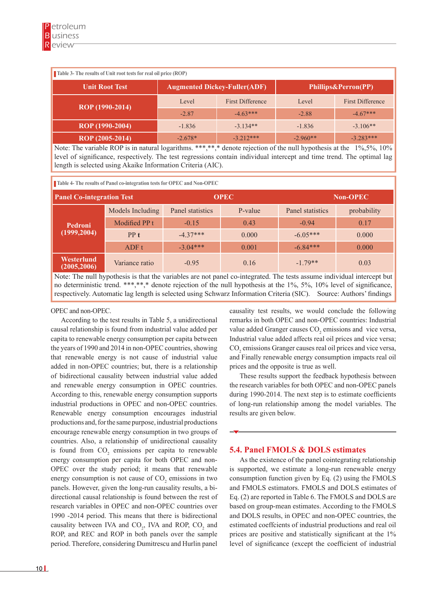| Table 3- The results of Unit root tests for real oil price (ROP) |                                                            |                         |            |                         |  |  |
|------------------------------------------------------------------|------------------------------------------------------------|-------------------------|------------|-------------------------|--|--|
| <b>Unit Root Test</b>                                            | <b>Augmented Dickey-Fuller(ADF)</b><br>Phillips&Perron(PP) |                         |            |                         |  |  |
| ROP (1990-2014)                                                  | Level                                                      | <b>First Difference</b> | Level      | <b>First Difference</b> |  |  |
|                                                                  | $-2.87$                                                    | $-4.63***$              | $-2.88$    | $-4.67***$              |  |  |
| ROP (1990-2004)                                                  | $-1.836$                                                   | $-3,134**$              | $-1.836$   | $-3.106**$              |  |  |
| ROP (2005-2014)                                                  | $-2.678*$                                                  | $-3.212***$             | $-2.960**$ | $-3.283***$             |  |  |

Note: The variable ROP is in natural logarithms. \*\*\*,\*\*,\* denote rejection of the null hypothesis at the 1%,5%, 10% level of significance, respectively. The test regressions contain individual intercept and time trend. The optimal lag length is selected using Akaike Information Criteria (AIC).

**Table 4- The results of Panel co-integration tests for OPEC and Non-OPEC**

| <b>Panel Co-integration Test</b> |                  |                  | <b>OPEC</b> | <b>Non-OPEC</b>  |             |  |
|----------------------------------|------------------|------------------|-------------|------------------|-------------|--|
|                                  | Models Including | Panel statistics | P-value     | Panel statistics | probability |  |
| Pedroni                          | Modified PP t    | $-0.15$          | 0.43        | $-0.94$          | 0.17        |  |
| (1999, 2004)                     | PPt              | $-4.37***$       | 0.000       | $-6.05***$       | 0.000       |  |
|                                  | ADF t            | $-3.04***$       | 0.001       | $-6.84***$       | 0.000       |  |
| Westerlund<br>(2005, 2006)       | Variance ratio   | $-0.95$          | 0.16        | $-1.79**$        | 0.03        |  |

Note: The null hypothesis is that the variables are not panel co-integrated. The tests assume individual intercept but no deterministic trend. \*\*\*,\*\*,\* denote rejection of the null hypothesis at the 1%, 5%, 10% level of significance, respectively. Automatic lag length is selected using Schwarz Information Criteria (SIC). Source: Authors' findings

# OPEC and non-OPEC.

According to the test results in Table 5, a unidirectional causal relationship is found from industrial value added per capita to renewable energy consumption per capita between the years of 1990 and 2014 in non-OPEC countries, showing that renewable energy is not cause of industrial value added in non-OPEC countries; but, there is a relationship of bidirectional causality between industrial value added and renewable energy consumption in OPEC countries. According to this, renewable energy consumption supports industrial productions in OPEC and non-OPEC countries. Renewable energy consumption encourages industrial productions and, for the same purpose, industrial productions encourage renewable energy consumption in two groups of countries. Also, a relationship of unidirectional causality is found from  $CO_2$  emissions per capita to renewable energy consumption per capita for both OPEC and non-OPEC over the study period; it means that renewable energy consumption is not cause of  $CO<sub>2</sub>$  emissions in two panels. However, given the long-run causality results, a bidirectional causal relationship is found between the rest of research variables in OPEC and non-OPEC countries over 1990 -2014 period. This means that there is bidirectional causality between IVA and  $CO<sub>2</sub>$ , IVA and ROP,  $CO<sub>2</sub>$  and ROP, and REC and ROP in both panels over the sample period. Therefore, considering Dumitrescu and Hurlin panel

causality test results, we would conclude the following remarks in both OPEC and non-OPEC countries: Industrial value added Granger causes  $CO<sub>2</sub>$  emissions and vice versa, Industrial value added affects real oil prices and vice versa;  $CO<sub>2</sub>$  emissions Granger causes real oil prices and vice versa, and Finally renewable energy consumption impacts real oil prices and the opposite is true as well.

These results support the feedback hypothesis between the research variables for both OPEC and non-OPEC panels during 1990-2014. The next step is to estimate coefficients of long-run relationship among the model variables. The results are given below.

# **5.4. Panel FMOLS & DOLS estimates**

As the existence of the panel cointegrating relationship is supported, we estimate a long-run renewable energy consumption function given by Eq. (2) using the FMOLS and FMOLS estimators. FMOLS and DOLS estimates of Eq. (2) are reported in Table 6. The FMOLS and DOLS are based on group-mean estimates. According to the FMOLS and DOLS results, in OPEC and non-OPEC countries, the estimated coeffcients of industrial productions and real oil prices are positive and statistically significant at the 1% level of significance (except the coefficient of industrial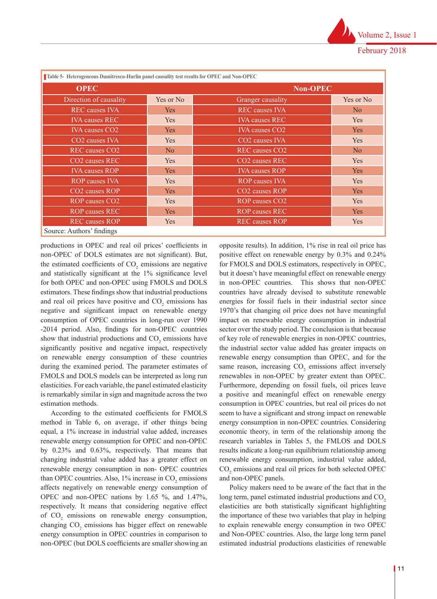| Table 5- Heterogeneous Dumitrescu-Hurlin panel causality test results for OPEC and Non-OPEC |            |                                   |                |  |  |
|---------------------------------------------------------------------------------------------|------------|-----------------------------------|----------------|--|--|
| <b>OPEC</b>                                                                                 |            | <b>Non-OPEC</b>                   |                |  |  |
| Direction of causality                                                                      | Yes or No  | Granger causality                 | Yes or No      |  |  |
| <b>REC</b> causes <b>IVA</b>                                                                | <b>Yes</b> | <b>REC</b> causes <b>IVA</b>      | N <sub>0</sub> |  |  |
| <b>IVA</b> causes REC                                                                       | Yes        | <b>IVA</b> causes REC             | <b>Yes</b>     |  |  |
| <b>IVA</b> causes CO <sub>2</sub>                                                           | Yes.       | <b>IVA</b> causes CO <sub>2</sub> | Yes            |  |  |
| CO <sub>2</sub> causes IVA                                                                  | <b>Yes</b> | CO <sub>2</sub> causes IVA        | <b>Yes</b>     |  |  |
| REC causes CO <sub>2</sub>                                                                  | No         | REC causes CO <sub>2</sub>        | No             |  |  |
| CO <sub>2</sub> causes REC                                                                  | <b>Yes</b> | CO <sub>2</sub> causes REC        | <b>Yes</b>     |  |  |
| <b>IVA</b> causes ROP                                                                       | <b>Yes</b> | <b>IVA</b> causes ROP             | <b>Yes</b>     |  |  |
| <b>ROP</b> causes IVA                                                                       | Yes        | <b>ROP</b> causes <b>IVA</b>      | <b>Yes</b>     |  |  |
| CO <sub>2</sub> causes ROP                                                                  | Yes        | CO <sub>2</sub> causes ROP        | <b>Yes</b>     |  |  |
| ROP causes CO2                                                                              | <b>Yes</b> | ROP causes CO <sub>2</sub>        | Yes            |  |  |
| <b>ROP</b> causes REC                                                                       | Yes.       | <b>ROP</b> causes REC             | Yes            |  |  |
| <b>REC</b> causes ROP                                                                       | <b>Yes</b> | <b>REC</b> causes ROP             | <b>Yes</b>     |  |  |
| $C_1, \ldots, C_n, A_{n+1}, \ldots, C_1, A_{n+2}, \ldots$                                   |            |                                   |                |  |  |

Source: Authors' findings

productions in OPEC and real oil prices' coefficients in non-OPEC of DOLS estimates are not significant). But, the estimated coefficients of  $CO<sub>2</sub>$  emissions are negative and statistically significant at the 1% significance level for both OPEC and non-OPEC using FMOLS and DOLS estimators. These findings show that industrial productions and real oil prices have positive and  $CO<sub>2</sub>$  emissions has negative and significant impact on renewable energy consumption of OPEC countries in long-run over 1990 -2014 period. Also, findings for non-OPEC countries show that industrial productions and  $CO<sub>2</sub>$  emissions have significantly positive and negative impact, respectively on renewable energy consumption of these countries during the examined period. The parameter estimates of FMOLS and DOLS models can be interpreted as long run elasticities. For each variable, the panel estimated elasticity is remarkably similar in sign and magnitude across the two estimation methods.

According to the estimated coefficients for FMOLS method in Table 6, on average, if other things being equal, a 1% increase in industrial value added, increases renewable energy consumption for OPEC and non-OPEC by 0.23% and 0.63%, respectively. That means that changing industrial value added has a greater effect on renewable energy consumption in non- OPEC countries than OPEC countries. Also,  $1\%$  increase in  $CO<sub>2</sub>$  emissions affects negatively on renewable energy consumption of OPEC and non-OPEC nations by 1.65 %, and 1.47%, respectively. It means that considering negative effect of  $CO<sub>2</sub>$  emissions on renewable energy consumption, changing  $CO<sub>2</sub>$  emissions has bigger effect on renewable energy consumption in OPEC countries in comparison to non-OPEC (but DOLS coefficients are smaller showing an

opposite results). In addition, 1% rise in real oil price has positive effect on renewable energy by 0.3% and 0.24% for FMOLS and DOLS estimators, respectively in OPEC, but it doesn't have meaningful effect on renewable energy in non-OPEC countries. This shows that non-OPEC countries have already devised to substitute renewable energies for fossil fuels in their industrial sector since 1970's that changing oil price does not have meaningful impact on renewable energy consumption in industrial sector over the study period. The conclusion is that because of key role of renewable energies in non-OPEC countries, the industrial sector value added has greater impacts on renewable energy consumption than OPEC, and for the same reason, increasing  $CO<sub>2</sub>$  emissions affect inversely renewables in non-OPEC by greater extent than OPEC. Furthermore, depending on fossil fuels, oil prices leave a positive and meaningful effect on renewable energy consumption in OPEC countries, but real oil prices do not seem to have a significant and strong impact on renewable energy consumption in non-OPEC countries. Considering economic theory, in term of the relationship among the research variables in Tables 5, the FMLOS and DOLS results indicate a long-run equilibrium relationship among renewable energy consumption, industrial value added,  $CO<sub>2</sub>$  emissions and real oil prices for both selected OPEC and non-OPEC panels.

Policy makers need to be aware of the fact that in the long term, panel estimated industrial productions and CO<sub>2</sub> elasticities are both statistically significant highlighting the importance of these two variables that play in helping to explain renewable energy consumption in two OPEC and Non-OPEC countries. Also, the large long term panel estimated industrial productions elasticities of renewable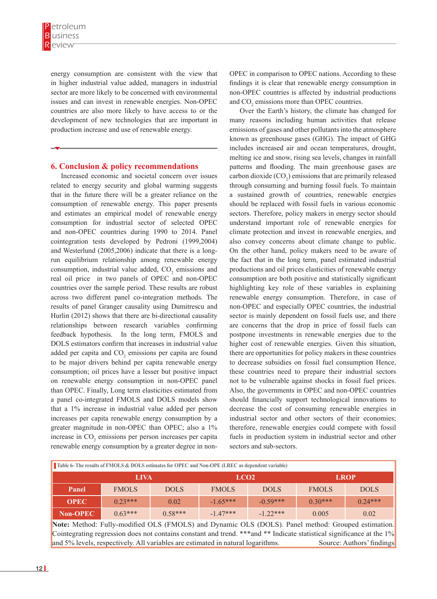energy consumption are consistent with the view that in higher industrial value added, managers in industrial sector are more likely to be concerned with environmental issues and can invest in renewable energies. Non-OPEC countries are also more likely to have access to or the development of new technologies that are important in production increase and use of renewable energy.

# **6. Conclusion & policy recommendations**

Increased economic and societal concern over issues related to energy security and global warming suggests that in the future there will be a greater reliance on the consumption of renewable energy. This paper presents and estimates an empirical model of renewable energy consumption for industrial sector of selected OPEC and non-OPEC countries during 1990 to 2014. Panel cointegration tests developed by Pedroni (1999,2004) and Westerlund (2005,2006) indicate that there is a longrun equilibrium relationship among renewable energy consumption, industrial value added,  $CO<sub>2</sub>$  emissions and real oil price in two panels of OPEC and non-OPEC countries over the sample period. These results are robust across two different panel co-integration methods. The results of panel Granger causality using Dumitrescu and Hurlin (2012) shows that there are bi-directional causality relationships between research variables confirming feedback hypothesis. In the long term, FMOLS and DOLS estimators confirm that increases in industrial value added per capita and  $CO<sub>2</sub>$  emissions per capita are found to be major drivers behind per capita renewable energy consumption; oil prices have a lesser but positive impact on renewable energy consumption in non-OPEC panel than OPEC. Finally, Long term elasticities estimated from a panel co-integrated FMOLS and DOLS models show that a 1% increase in industrial value added per person increases per capita renewable energy consumption by a greater magnitude in non-OPEC than OPEC; also a 1% increase in  $CO<sub>2</sub>$  emissions per person increases per capita renewable energy consumption by a greater degree in non-

OPEC in comparison to OPEC nations. According to these findings it is clear that renewable energy consumption in non-OPEC countries is affected by industrial productions and  $CO<sub>2</sub>$  emissions more than OPEC countries.

Over the Earth's history, the climate has changed for many reasons including human activities that release emissions of gases and other pollutants into the atmosphere known as greenhouse gases (GHG). The impact of GHG includes increased air and ocean temperatures, drought, melting ice and snow, rising sea levels, changes in rainfall patterns and flooding. The main greenhouse gases are carbon dioxide  $(CO_2)$  emissions that are primarily released through consuming and burning fossil fuels. To maintain a sustained growth of countries, renewable energies should be replaced with fossil fuels in various economic sectors. Therefore, policy makers in energy sector should understand important role of renewable energies for climate protection and invest in renewable energies, and also convey concerns about climate change to public. On the other hand, policy makers need to be aware of the fact that in the long term, panel estimated industrial productions and oil prices elasticities of renewable energy consumption are both positive and statistically significant highlighting key role of these variables in explaining renewable energy consumption. Therefore, in case of non-OPEC and especially OPEC countries, the industrial sector is mainly dependent on fossil fuels use, and there are concerns that the drop in price of fossil fuels can postpone investments in renewable energies due to the higher cost of renewable energies. Given this situation, there are opportunities for policy makers in these countries to decrease subsidies on fossil fuel consumption Hence, these countries need to prepare their industrial sectors not to be vulnerable against shocks in fossil fuel prices. Also, the governments in OPEC and non-OPEC countries should financially support technological innovations to decrease the cost of consuming renewable energies in industrial sector and other sectors of their economies; therefore, renewable energies could compete with fossil fuels in production system in industrial sector and other sectors and sub-sectors.

| Table 6- The results of FMOLS & DOLS estimates for OPEC and Non-OPE (LREC as dependent variable) |  |              |                                                                                                       |                  |             |              |             |  |
|--------------------------------------------------------------------------------------------------|--|--------------|-------------------------------------------------------------------------------------------------------|------------------|-------------|--------------|-------------|--|
| <b>LROP</b>                                                                                      |  |              |                                                                                                       | LCO <sub>2</sub> |             | <b>LIVA</b>  |             |  |
| <b>DOLS</b>                                                                                      |  | <b>FMOLS</b> | <b>DOLS</b>                                                                                           | <b>FMOLS</b>     | <b>DOLS</b> | <b>FMOLS</b> | Panel       |  |
| $0.24***$                                                                                        |  | $0.30***$    | $-0.59***$                                                                                            | $-1.65***$       | 0.02        | $0.23***$    | <b>OPEC</b> |  |
| 0.02                                                                                             |  | 0.005        | $-122***$                                                                                             | $-147***$        | $0.58***$   | $0.63***$    | Non-OPEC    |  |
|                                                                                                  |  |              | Meter Meter 4. Patterne 4.0. 4. OF 0. (PMOF 0) and Demands OF 0. (DOF 0). Bend medical Commoditations |                  |             |              |             |  |

**Note:** Method: Fully-modified OLS (FMOLS) and Dynamic OLS (DOLS). Panel method: Grouped estimation. Cointegrating regression does not contains constant and trend. \*\*\*and \*\* Indicate statistical significance at the 1% and 5% levels, respectively. All variables are estimated in natural logarithms. Source: Authors' findings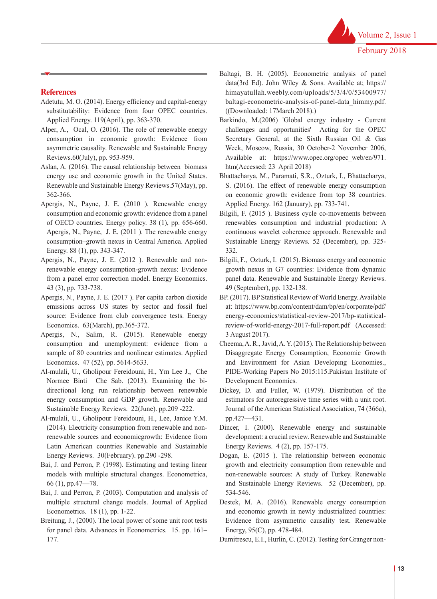## **References**

- Adetutu, M. O. (2014). Energy efficiency and capital-energy substitutability: Evidence from four OPEC countries. Applied Energy. 119(April), pp. 363-370.
- Alper, A., Ocal, O. (2016). The role of renewable energy consumption in economic growth: Evidence from asymmetric causality. Renewable and Sustainable Energy Reviews.60(July), pp. 953-959.
- Aslan, A. (2016). The causal relationship between biomass energy use and economic growth in the United States. Renewable and Sustainable Energy Reviews.57(May), pp. 362-366.
- Apergis, N., Payne, J. E. (2010 ). Renewable energy consumption and economic growth: evidence from a panel of OECD countries. Energy policy. 38 (1), pp. 656-660. Apergis, N., Payne, J. E. (2011 ). The renewable energy consumption–growth nexus in Central America. Applied Energy. 88 (1), pp. 343-347.
- Apergis, N., Payne, J. E. (2012 ). Renewable and nonrenewable energy consumption-growth nexus: Evidence from a panel error correction model. Energy Economics. 43 (3), pp. 733-738.
- Apergis, N., Payne, J. E. (2017 ). Per capita carbon dioxide emissions across US states by sector and fossil fuel source: Evidence from club convergence tests. Energy Economics. 63(March), pp.365-372.
- Apergis, N., Salim, R. (2015). Renewable energy consumption and unemployment: evidence from a sample of 80 countries and nonlinear estimates. Applied Economics. 47 (52), pp. 5614-5633.
- Al-mulali, U., Gholipour Fereidouni, H., Ym Lee J., Che Normee Binti Che Sab. (2013). Examining the bidirectional long run relationship between renewable energy consumption and GDP growth. Renewable and Sustainable Energy Reviews. 22(June). pp.209 -222.
- Al-mulali, U., Gholipour Fereidouni, H., Lee, Janice Y.M. (2014). Electricity consumption from renewable and nonrenewable sources and economicgrowth: Evidence from Latin American countries Renewable and Sustainable Energy Reviews. 30(February). pp.290 -298.
- Bai, J. and Perron, P. (1998). Estimating and testing linear models with multiple structural changes. Econometrica, 66 (1), pp.47—78.
- Bai, J. and Perron, P. (2003). Computation and analysis of multiple structural change models. Journal of Applied Econometrics. 18 (1), pp. 1-22.
- Breitung, J., (2000). The local power of some unit root tests for panel data. Advances in Econometrics. 15. pp. 161– 177.
- Baltagi, B. H. (2005). Econometric analysis of panel data(3rd Ed). John Wiley & Sons. Available at; https:// himayatullah.weebly.com/uploads/5/3/4/0/53400977/ baltagi-econometric-analysis-of-panel-data\_himmy.pdf. ((Downloaded: 17March 2018).)
- Barkindo, M.(2006) 'Global energy industry Current challenges and opportunities' Acting for the OPEC Secretary General, at the Sixth Russian Oil & Gas Week, Moscow, Russia, 30 October-2 November 2006, Available at: https://www.opec.org/opec\_web/en/971. htm(Accessed: 23 April 2018)
- Bhattacharya, M., Paramati, S.R., Ozturk, I., Bhattacharya, S. (2016). The effect of renewable energy consumption on economic growth: evidence from top 38 countries. Applied Energy. 162 (January), pp. 733-741.
- Bilgili, F. (2015 ). Business cycle co-movements between renewables consumption and industrial production: A continuous wavelet coherence approach. Renewable and Sustainable Energy Reviews. 52 (December), pp. 325- 332.
- Bilgili, F., Ozturk, I. (2015). Biomass energy and economic growth nexus in G7 countries: Evidence from dynamic panel data. Renewable and Sustainable Energy Reviews. 49 (September), pp. 132-138.
- BP. (2017). BP Statistical Review of World Energy. Available at: https://www.bp.com/content/dam/bp/en/corporate/pdf/ energy-economics/statistical-review-2017/bp-statisticalreview-of-world-energy-2017-full-report.pdf (Accessed: 3 August 2017).
- Cheema, A. R., Javid, A. Y. (2015). The Relationship between Disaggregate Energy Consumption, Economic Growth and Environment for Asian Developing Economies., PIDE-Working Papers No 2015:115.Pakistan Institute of Development Economics.
- Dickey, D. and Fuller, W. (1979). Distribution of the estimators for autoregressive time series with a unit root. Journal of the American Statistical Association, 74 (366a), pp.427—431.
- Dincer, I. (2000). Renewable energy and sustainable development: a crucial review. Renewable and Sustainable Energy Reviews. 4 (2), pp. 157-175.
- Dogan, E. (2015 ). The relationship between economic growth and electricity consumption from renewable and non-renewable sources: A study of Turkey. Renewable and Sustainable Energy Reviews. 52 (December), pp. 534-546.
- Destek, M. A. (2016). Renewable energy consumption and economic growth in newly industrialized countries: Evidence from asymmetric causality test. Renewable Energy, 95(C), pp. 478-484.
- Dumitrescu, E.I., Hurlin, C. (2012). Testing for Granger non-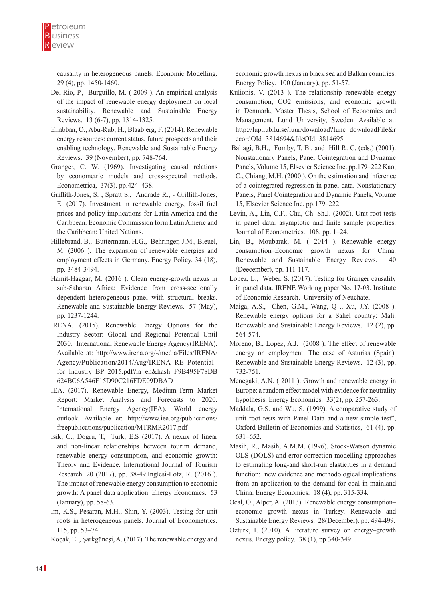causality in heterogeneous panels. Economic Modelling. 29 (4), pp. 1450-1460.

- Del Rio, P., Burguillo, M. ( 2009 ). An empirical analysis of the impact of renewable energy deployment on local sustainability. Renewable and Sustainable Energy Reviews. 13 (6-7), pp. 1314-1325.
- Ellabban, O., Abu-Rub, H., Blaabjerg, F. (2014). Renewable energy resources: current status, future prospects and their enabling technology. Renewable and Sustainable Energy Reviews. 39 (November), pp. 748-764.
- Granger, C. W. (1969). Investigating causal relations by econometric models and cross-spectral methods. Econometrica, 37(3). pp.424–438.
- Griffith-Jones, S. , Spratt S., Andrade R., Griffith-Jones, E. (2017). Investment in renewable energy, fossil fuel prices and policy implications for Latin America and the Caribbean. Economic Commission form Latin Americ and the Caribbean: United Nations.
- Hillebrand, B., Buttermann, H.G., Behringer, J.M., Bleuel, M. (2006 ). The expansion of renewable energies and employment effects in Germany. Energy Policy. 34 (18), pp. 3484-3494.
- Hamit-Haggar, M. (2016 ). Clean energy-growth nexus in sub-Saharan Africa: Evidence from cross-sectionally dependent heterogeneous panel with structural breaks. Renewable and Sustainable Energy Reviews. 57 (May), pp. 1237-1244.
- IRENA. (2015). Renewable Energy Options for the Industry Sector: Global and Regional Potential Until 2030. International Renewable Energy Agency(IRENA). Available at: http://www.irena.org/-/media/Files/IRENA/ Agency/Publication/2014/Aug/IRENA\_RE\_Potential\_ for\_Industry\_BP\_2015.pdf?la=en&hash=F9B495F78DB 624BC6A546F15D90C216FDE09DBAD
- IEA. (2017). Renewable Energy, Medium-Term Market Report: Market Analysis and Forecasts to 2020. International Energy Agency(IEA). World energy outlook. Available at: http://www.iea.org/publications/ freepublications/publication/MTRMR2017.pdf
- Isik, C., Dogru, T, Turk, E.S (2017). A nexux of linear and non-linear relationships between tourim demand, renewable energy consumption, and economic growth: Theory and Evidence. International Journal of Tourism Research. 20 (2017), pp. 38-49.Inglesi-Lotz, R. (2016 ). The impact of renewable energy consumption to economic growth: A panel data application. Energy Economics. 53 (January), pp. 58-63.
- Im, K.S., Pesaran, M.H., Shin, Y. (2003). Testing for unit roots in heterogeneous panels. Journal of Econometrics. 115, pp. 53–74.

Koçak, E. , Şarkgüneşi, A. (2017). The renewable energy and

economic growth nexus in black sea and Balkan countries. Energy Policy. 100 (January), pp. 51-57.

- Kulionis, V. (2013 ). The relationship renewable energy consumption, CO2 emissions, and economic growth in Denmark, Master Thesis, School of Economics and Management, Lund University, Sweden. Available at: http://lup.lub.lu.se/luur/download?func=downloadFile&r ecordOId=3814694&fileOId=3814695.
- Baltagi, B.H., Fomby, T. B., and Hill R. C. (eds.) (2001). Nonstationary Panels, Panel Cointegration and Dynamic Panels, Volume 15, Elsevier Science Inc. pp.179–222 Kao, C., Chiang, M.H. (2000 ). On the estimation and inference of a cointegrated regression in panel data. Nonstationary Panels, Panel Cointegration and Dynamic Panels, Volume 15, Elsevier Science Inc. pp.179–222
- Levin, A., Lin, C.F., Chu, Ch.-Sh.J. (2002). Unit root tests in panel data: asymptotic and finite sample properties. Journal of Econometrics. 108, pp. 1–24.
- Lin, B., Moubarak, M. ( 2014 ). Renewable energy consumption–Economic growth nexus for China. Renewable and Sustainable Energy Reviews. 40 (Deecember), pp. 111-117.
- Lopez, L., Weber. S. (2017). Testing for Granger causality in panel data. IRENE Working paper No. 17-03. Institute of Economic Research. University of Neuchatel.
- Maiga, A.S., Chen, G.M., Wang, Q ., Xu, J.Y. (2008 ). Renewable energy options for a Sahel country: Mali. Renewable and Sustainable Energy Reviews. 12 (2), pp. 564-574.
- Moreno, B., Lopez, A.J. (2008 ). The effect of renewable energy on employment. The case of Asturias (Spain). Renewable and Sustainable Energy Reviews. 12 (3), pp. 732-751.
- Menegaki, A.N. ( 2011 ). Growth and renewable energy in Europe: a random effect model with evidence for neutrality hypothesis. Energy Economics. 33(2), pp. 257-263.
- Maddala, G.S. and Wu, S. (1999). A comparative study of unit root tests with Panel Data and a new simple test", Oxford Bulletin of Economics and Statistics, 61 (4). pp. 631–652.
- Masih, R., Masih, A.M.M. (1996). Stock-Watson dynamic OLS (DOLS) and error-correction modelling approaches to estimating long-and short-run elasticities in a demand function: new evidence and methodological implications from an application to the demand for coal in mainland China. Energy Economics. 18 (4), pp. 315-334.
- Ocal, O., Alper, A. (2013). Renewable energy consumption– economic growth nexus in Turkey. Renewable and Sustainable Energy Reviews. 28(December). pp. 494-499.
- Ozturk, I. (2010). A literature survey on energy–growth nexus. Energy policy. 38 (1), pp.340-349.